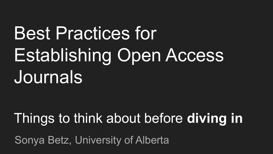# Best Practices for Establishing Open Access Journals

## Things to think about before **diving in**

Sonya Betz, University of Alberta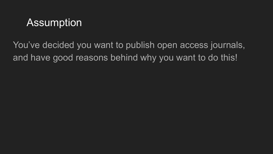## Assumption

You've decided you want to publish open access journals, and have good reasons behind why you want to do this!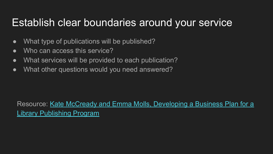#### Establish clear boundaries around your service

- What type of publications will be published?
- Who can access this service?
- What services will be provided to each publication?
- What other questions would you need answered?

Resource: [Kate McCready and Emma Molls, Developing a Business Plan for a](https://www.mdpi.com/2304-6775/6/4/42/htm) [Library Publishing Program](https://www.mdpi.com/2304-6775/6/4/42/htm)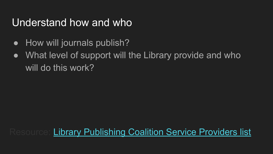## Understand how and who

- How will journals publish?
- What level of support will the Library provide and who will do this work?

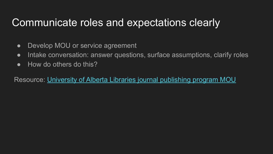## Communicate roles and expectations clearly

- Develop MOU or service agreement
- Intake conversation: answer questions, surface assumptions, clarify roles
- How do others do this?

Resource: [University of Alberta Libraries journal publishing program MOU](https://drive.google.com/file/d/11cDaBwEfu6RkF7BlxV14T4Ktuf_2RHPh/view)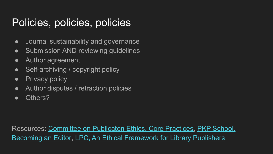## Policies, policies, policies

- Journal sustainability and governance
- Submission AND reviewing guidelines
- Author agreement
- Self-archiving / copyright policy
- Privacy policy
- Author disputes / retraction policies
- Others?

Resources: [Committee on Publicaton Ethics, Core Practices](https://publicationethics.org/core-practices), [PKP School,](https://pkpschool.sfu.ca/courses/becoming-an-editor/) [Becoming an Editor](https://pkpschool.sfu.ca/courses/becoming-an-editor/), [LPC, An Ethical Framework for Library Publishers](https://librarypublishing.org/resources/ethical-framework/)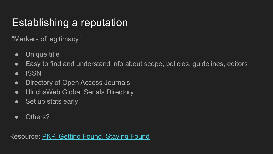## Establishing a reputation

"Markers of legitimacy"

- Unique title
- Easy to find and understand info about scope, policies, guidelines, editors
- ISSN
- Directory of Open Access Journals
- UlrichsWeb Global Serials Directory
- Set up stats early!
- Others?

Resource: [PKP, Getting Found, Staying Found](https://docs.pkp.sfu.ca/getting-found-staying-found/en/)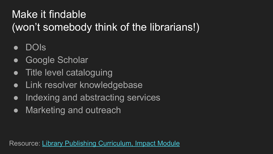## Make it findable (won't somebody think of the librarians!)

- DOIs
- Google Scholar
- **Title level cataloguing**
- Link resolver knowledgebase
- Indexing and abstracting services
- Marketing and outreach

Resource: [Library Publishing Curriculum, Impact Module](https://drive.google.com/drive/folders/1XB-9YRDHW0HhmHB75jVHlj0mPLmBL1c8)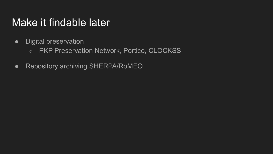#### Make it findable later

- Digital preservation
	- PKP Preservation Network, Portico, CLOCKSS
- Repository archiving SHERPA/RoMEO